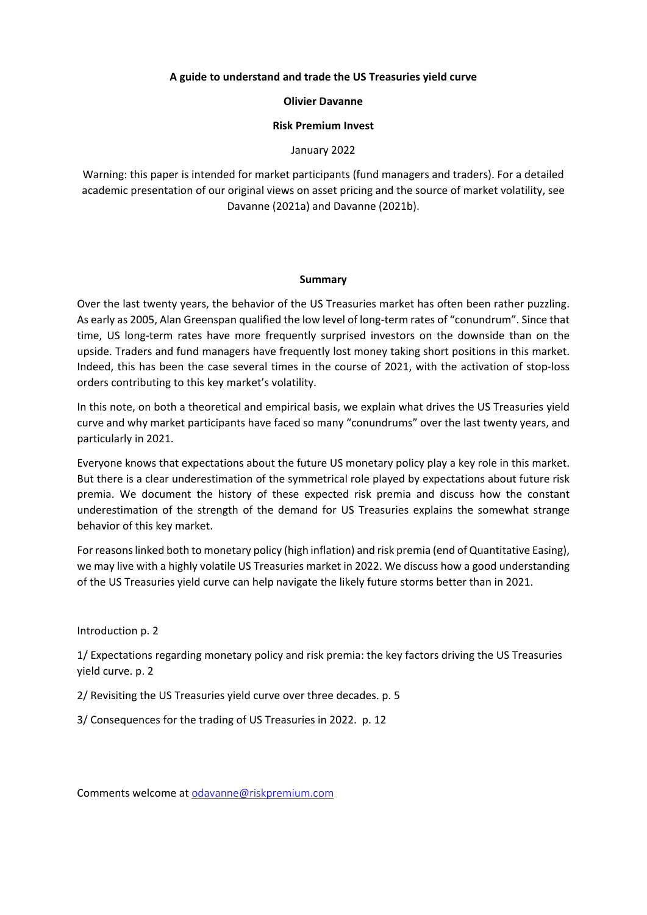## **A guide to understand and trade the US Treasuries yield curve**

### **Olivier Davanne**

### **Risk Premium Invest**

### January 2022

Warning: this paper is intended for market participants (fund managers and traders). For a detailed academic presentation of our original views on asset pricing and the source of market volatility, see Davanne (2021a) and Davanne (2021b).

#### **Summary**

Over the last twenty years, the behavior of the US Treasuries market has often been rather puzzling. As early as 2005, Alan Greenspan qualified the low level of long-term rates of "conundrum". Since that time, US long-term rates have more frequently surprised investors on the downside than on the upside. Traders and fund managers have frequently lost money taking short positions in this market. Indeed, this has been the case several times in the course of 2021, with the activation of stop-loss orders contributing to this key market's volatility.

In this note, on both a theoretical and empirical basis, we explain what drives the US Treasuries yield curve and why market participants have faced so many "conundrums" over the last twenty years, and particularly in 2021.

Everyone knows that expectations about the future US monetary policy play a key role in this market. But there is a clear underestimation of the symmetrical role played by expectations about future risk premia. We document the history of these expected risk premia and discuss how the constant underestimation of the strength of the demand for US Treasuries explains the somewhat strange behavior of this key market.

For reasons linked both to monetary policy (high inflation) and risk premia (end of Quantitative Easing), we may live with a highly volatile US Treasuries market in 2022. We discuss how a good understanding of the US Treasuries yield curve can help navigate the likely future storms better than in 2021.

Introduction p. 2

1/ Expectations regarding monetary policy and risk premia: the key factors driving the US Treasuries yield curve. p. 2

2/ Revisiting the US Treasuries yield curve over three decades. p. 5

3/ Consequences for the trading of US Treasuries in 2022. p. 12

Comments welcome at [odavanne@riskpremium.com](mailto:odavanne@riskpremium.com)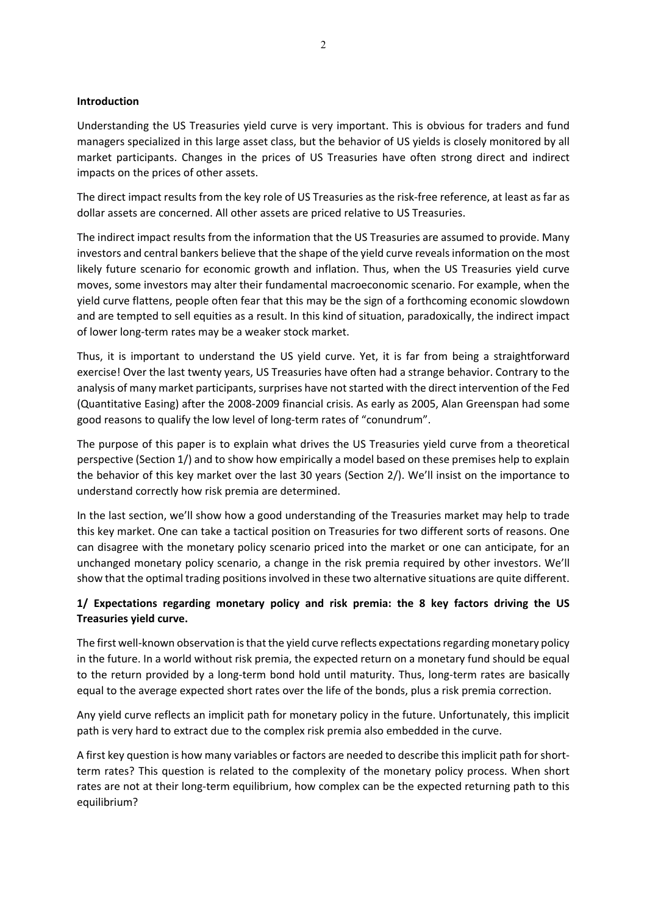### **Introduction**

Understanding the US Treasuries yield curve is very important. This is obvious for traders and fund managers specialized in this large asset class, but the behavior of US yields is closely monitored by all market participants. Changes in the prices of US Treasuries have often strong direct and indirect impacts on the prices of other assets.

The direct impact results from the key role of US Treasuries as the risk-free reference, at least as far as dollar assets are concerned. All other assets are priced relative to US Treasuries.

The indirect impact results from the information that the US Treasuries are assumed to provide. Many investors and central bankers believe that the shape of the yield curve reveals information on the most likely future scenario for economic growth and inflation. Thus, when the US Treasuries yield curve moves, some investors may alter their fundamental macroeconomic scenario. For example, when the yield curve flattens, people often fear that this may be the sign of a forthcoming economic slowdown and are tempted to sell equities as a result. In this kind of situation, paradoxically, the indirect impact of lower long-term rates may be a weaker stock market.

Thus, it is important to understand the US yield curve. Yet, it is far from being a straightforward exercise! Over the last twenty years, US Treasuries have often had a strange behavior. Contrary to the analysis of many market participants, surprises have not started with the direct intervention of the Fed (Quantitative Easing) after the 2008-2009 financial crisis. As early as 2005, Alan Greenspan had some good reasons to qualify the low level of long-term rates of "conundrum".

The purpose of this paper is to explain what drives the US Treasuries yield curve from a theoretical perspective (Section 1/) and to show how empirically a model based on these premises help to explain the behavior of this key market over the last 30 years (Section 2/). We'll insist on the importance to understand correctly how risk premia are determined.

In the last section, we'll show how a good understanding of the Treasuries market may help to trade this key market. One can take a tactical position on Treasuries for two different sorts of reasons. One can disagree with the monetary policy scenario priced into the market or one can anticipate, for an unchanged monetary policy scenario, a change in the risk premia required by other investors. We'll show that the optimal trading positions involved in these two alternative situations are quite different.

# **1/ Expectations regarding monetary policy and risk premia: the 8 key factors driving the US Treasuries yield curve.**

The first well-known observation is that the yield curve reflects expectations regarding monetary policy in the future. In a world without risk premia, the expected return on a monetary fund should be equal to the return provided by a long-term bond hold until maturity. Thus, long-term rates are basically equal to the average expected short rates over the life of the bonds, plus a risk premia correction.

Any yield curve reflects an implicit path for monetary policy in the future. Unfortunately, this implicit path is very hard to extract due to the complex risk premia also embedded in the curve.

A first key question is how many variables or factors are needed to describe this implicit path for shortterm rates? This question is related to the complexity of the monetary policy process. When short rates are not at their long-term equilibrium, how complex can be the expected returning path to this equilibrium?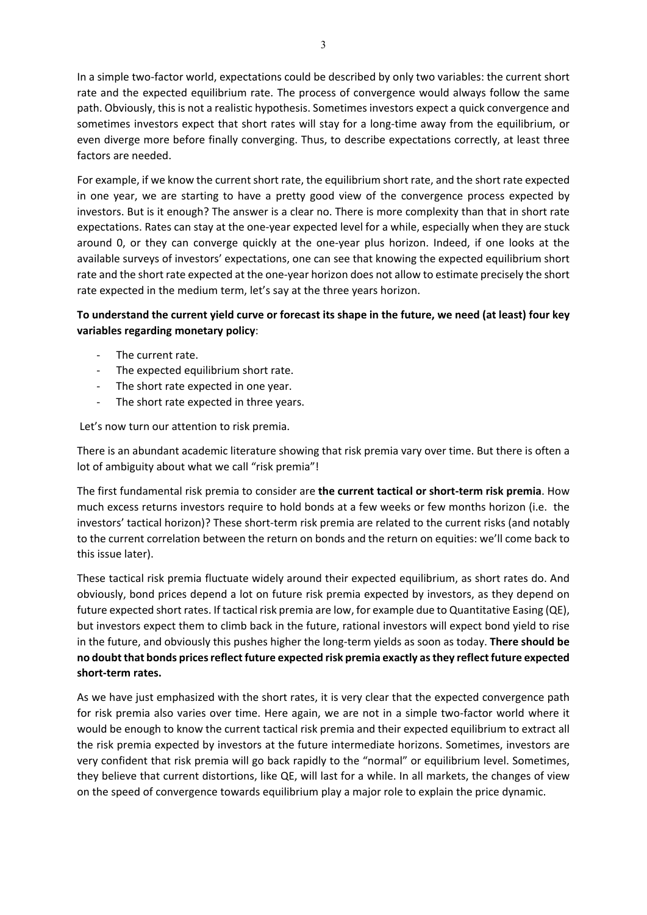In a simple two-factor world, expectations could be described by only two variables: the current short rate and the expected equilibrium rate. The process of convergence would always follow the same path. Obviously, this is not a realistic hypothesis. Sometimes investors expect a quick convergence and sometimes investors expect that short rates will stay for a long-time away from the equilibrium, or even diverge more before finally converging. Thus, to describe expectations correctly, at least three factors are needed.

For example, if we know the current short rate, the equilibrium short rate, and the short rate expected in one year, we are starting to have a pretty good view of the convergence process expected by investors. But is it enough? The answer is a clear no. There is more complexity than that in short rate expectations. Rates can stay at the one-year expected level for a while, especially when they are stuck around 0, or they can converge quickly at the one-year plus horizon. Indeed, if one looks at the available surveys of investors' expectations, one can see that knowing the expected equilibrium short rate and the short rate expected at the one-year horizon does not allow to estimate precisely the short rate expected in the medium term, let's say at the three years horizon.

# **To understand the current yield curve or forecast its shape in the future, we need (at least) four key variables regarding monetary policy**:

- The current rate.
- The expected equilibrium short rate.
- The short rate expected in one year.
- The short rate expected in three years.

Let's now turn our attention to risk premia.

There is an abundant academic literature showing that risk premia vary over time. But there is often a lot of ambiguity about what we call "risk premia"!

The first fundamental risk premia to consider are **the current tactical or short-term risk premia**. How much excess returns investors require to hold bonds at a few weeks or few months horizon (i.e. the investors' tactical horizon)? These short-term risk premia are related to the current risks (and notably to the current correlation between the return on bonds and the return on equities: we'll come back to this issue later).

These tactical risk premia fluctuate widely around their expected equilibrium, as short rates do. And obviously, bond prices depend a lot on future risk premia expected by investors, as they depend on future expected short rates. If tactical risk premia are low, for example due to Quantitative Easing (QE), but investors expect them to climb back in the future, rational investors will expect bond yield to rise in the future, and obviously this pushes higher the long-term yields as soon as today. **There should be no doubt that bonds prices reflect future expected risk premia exactly as they reflectfuture expected short-term rates.** 

As we have just emphasized with the short rates, it is very clear that the expected convergence path for risk premia also varies over time. Here again, we are not in a simple two-factor world where it would be enough to know the current tactical risk premia and their expected equilibrium to extract all the risk premia expected by investors at the future intermediate horizons. Sometimes, investors are very confident that risk premia will go back rapidly to the "normal" or equilibrium level. Sometimes, they believe that current distortions, like QE, will last for a while. In all markets, the changes of view on the speed of convergence towards equilibrium play a major role to explain the price dynamic.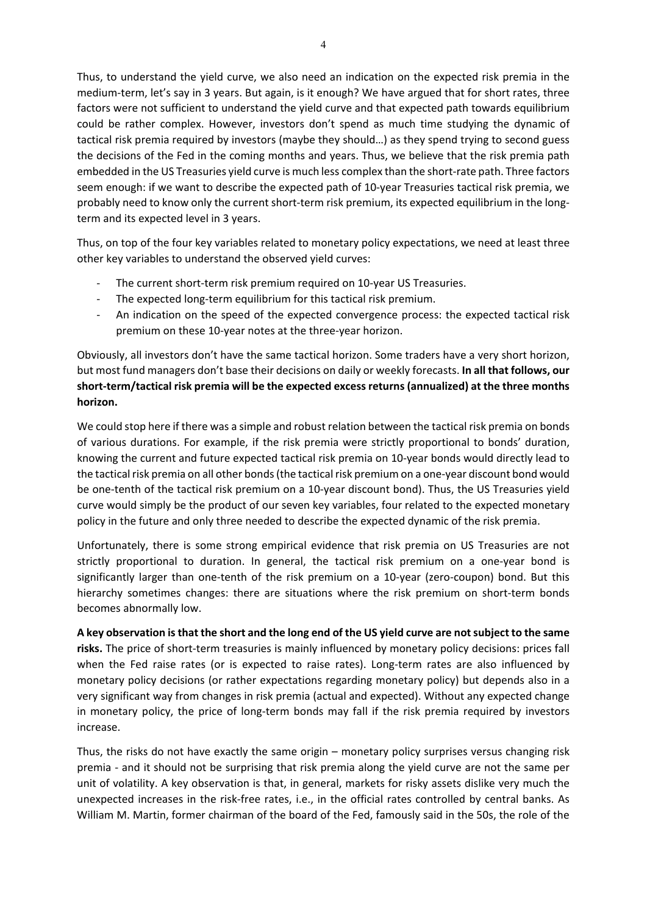Thus, to understand the yield curve, we also need an indication on the expected risk premia in the medium-term, let's say in 3 years. But again, is it enough? We have argued that for short rates, three factors were not sufficient to understand the yield curve and that expected path towards equilibrium could be rather complex. However, investors don't spend as much time studying the dynamic of tactical risk premia required by investors (maybe they should…) as they spend trying to second guess the decisions of the Fed in the coming months and years. Thus, we believe that the risk premia path embedded in the US Treasuries yield curve is much less complex than the short-rate path. Three factors seem enough: if we want to describe the expected path of 10-year Treasuries tactical risk premia, we probably need to know only the current short-term risk premium, its expected equilibrium in the longterm and its expected level in 3 years.

Thus, on top of the four key variables related to monetary policy expectations, we need at least three other key variables to understand the observed yield curves:

- The current short-term risk premium required on 10-year US Treasuries.
- The expected long-term equilibrium for this tactical risk premium.
- An indication on the speed of the expected convergence process: the expected tactical risk premium on these 10-year notes at the three-year horizon.

Obviously, all investors don't have the same tactical horizon. Some traders have a very short horizon, but most fund managers don't base their decisions on daily or weekly forecasts. **In all that follows, our short-term/tactical risk premia will be the expected excess returns (annualized) at the three months horizon.** 

We could stop here if there was a simple and robust relation between the tactical risk premia on bonds of various durations. For example, if the risk premia were strictly proportional to bonds' duration, knowing the current and future expected tactical risk premia on 10-year bonds would directly lead to the tactical risk premia on all other bonds(the tactical risk premium on a one-year discount bond would be one-tenth of the tactical risk premium on a 10-year discount bond). Thus, the US Treasuries yield curve would simply be the product of our seven key variables, four related to the expected monetary policy in the future and only three needed to describe the expected dynamic of the risk premia.

Unfortunately, there is some strong empirical evidence that risk premia on US Treasuries are not strictly proportional to duration. In general, the tactical risk premium on a one-year bond is significantly larger than one-tenth of the risk premium on a 10-year (zero-coupon) bond. But this hierarchy sometimes changes: there are situations where the risk premium on short-term bonds becomes abnormally low.

**A key observation is that the short and the long end of the US yield curve are not subject to the same risks.** The price of short-term treasuries is mainly influenced by monetary policy decisions: prices fall when the Fed raise rates (or is expected to raise rates). Long-term rates are also influenced by monetary policy decisions (or rather expectations regarding monetary policy) but depends also in a very significant way from changes in risk premia (actual and expected). Without any expected change in monetary policy, the price of long-term bonds may fall if the risk premia required by investors increase.

Thus, the risks do not have exactly the same origin – monetary policy surprises versus changing risk premia - and it should not be surprising that risk premia along the yield curve are not the same per unit of volatility. A key observation is that, in general, markets for risky assets dislike very much the unexpected increases in the risk-free rates, i.e., in the official rates controlled by central banks. As William M. Martin, former chairman of the board of the Fed, famously said in the 50s, the role of the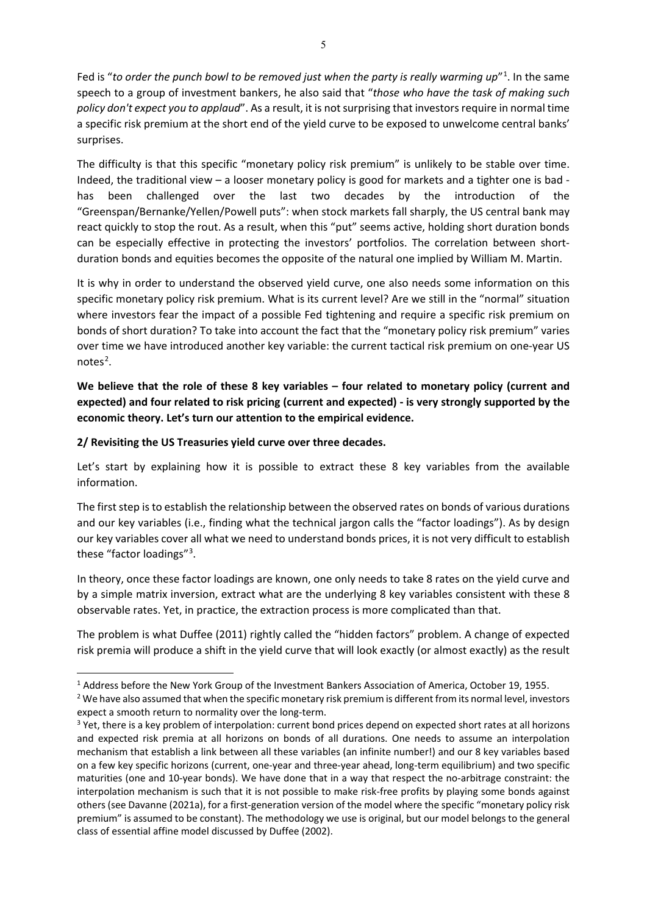Fed is "to order the punch bowl to be removed just when the party is really warming up"<sup>[1](#page-4-0)</sup>. In the same speech to a group of investment bankers, he also said that "*those who have the task of making such policy don't expect you to applaud*". As a result, it is not surprising that investors require in normal time a specific risk premium at the short end of the yield curve to be exposed to unwelcome central banks' surprises.

The difficulty is that this specific "monetary policy risk premium" is unlikely to be stable over time. Indeed, the traditional view – a looser monetary policy is good for markets and a tighter one is bad has been challenged over the last two decades by the introduction of the "Greenspan/Bernanke/Yellen/Powell puts": when stock markets fall sharply, the US central bank may react quickly to stop the rout. As a result, when this "put" seems active, holding short duration bonds can be especially effective in protecting the investors' portfolios. The correlation between shortduration bonds and equities becomes the opposite of the natural one implied by William M. Martin.

It is why in order to understand the observed yield curve, one also needs some information on this specific monetary policy risk premium. What is its current level? Are we still in the "normal" situation where investors fear the impact of a possible Fed tightening and require a specific risk premium on bonds of short duration? To take into account the fact that the "monetary policy risk premium" varies over time we have introduced another key variable: the current tactical risk premium on one-year US notes<sup>[2](#page-4-1)</sup>.

**We believe that the role of these 8 key variables – four related to monetary policy (current and expected) and four related to risk pricing (current and expected) - is very strongly supported by the economic theory. Let's turn our attention to the empirical evidence.** 

## **2/ Revisiting the US Treasuries yield curve over three decades.**

Let's start by explaining how it is possible to extract these 8 key variables from the available information.

The first step is to establish the relationship between the observed rates on bonds of various durations and our key variables (i.e., finding what the technical jargon calls the "factor loadings"). As by design our key variables cover all what we need to understand bonds prices, it is not very difficult to establish these "factor loadings"<sup>[3](#page-4-2)</sup>.

In theory, once these factor loadings are known, one only needs to take 8 rates on the yield curve and by a simple matrix inversion, extract what are the underlying 8 key variables consistent with these 8 observable rates. Yet, in practice, the extraction process is more complicated than that.

The problem is what Duffee (2011) rightly called the "hidden factors" problem. A change of expected risk premia will produce a shift in the yield curve that will look exactly (or almost exactly) as the result

<span id="page-4-0"></span><sup>&</sup>lt;sup>1</sup> Address before the New York Group of the Investment Bankers Association of America, October 19, 1955.

<span id="page-4-1"></span><sup>&</sup>lt;sup>2</sup> We have also assumed that when the specific monetary risk premium is different from its normal level, investors expect a smooth return to normality over the long-term.<br><sup>3</sup> Yet, there is a key problem of interpolation: current bond prices depend on expected short rates at all horizons

<span id="page-4-2"></span>and expected risk premia at all horizons on bonds of all durations. One needs to assume an interpolation mechanism that establish a link between all these variables (an infinite number!) and our 8 key variables based on a few key specific horizons (current, one-year and three-year ahead, long-term equilibrium) and two specific maturities (one and 10-year bonds). We have done that in a way that respect the no-arbitrage constraint: the interpolation mechanism is such that it is not possible to make risk-free profits by playing some bonds against others (see Davanne (2021a), for a first-generation version of the model where the specific "monetary policy risk premium" is assumed to be constant). The methodology we use is original, but our model belongs to the general class of essential affine model discussed by Duffee (2002).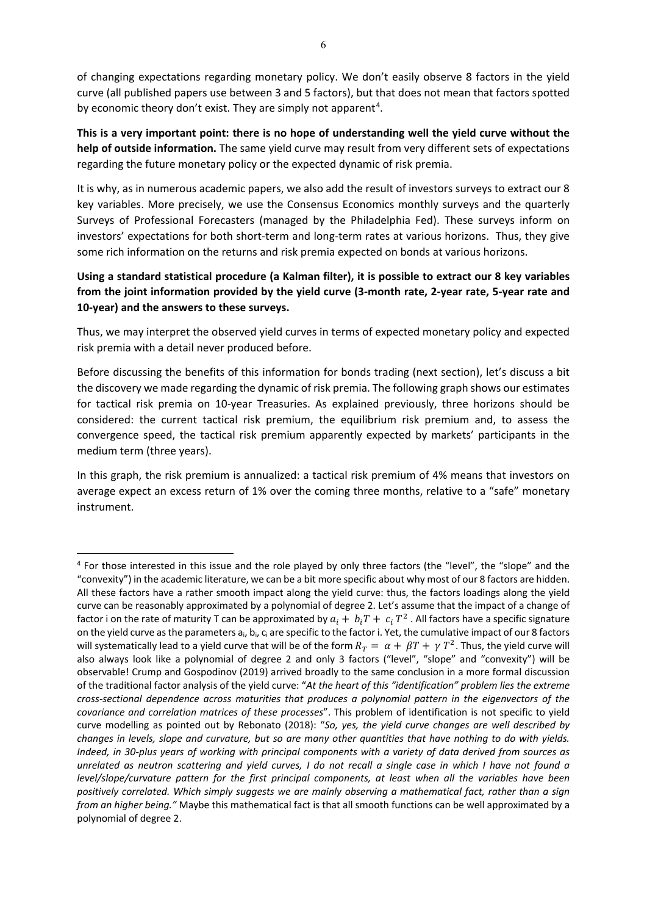of changing expectations regarding monetary policy. We don't easily observe 8 factors in the yield curve (all published papers use between 3 and 5 factors), but that does not mean that factors spotted by economic theory don't exist. They are simply not apparent<sup>[4](#page-5-0)</sup>.

**This is a very important point: there is no hope of understanding well the yield curve without the help of outside information.** The same yield curve may result from very different sets of expectations regarding the future monetary policy or the expected dynamic of risk premia.

It is why, as in numerous academic papers, we also add the result of investors surveys to extract our 8 key variables. More precisely, we use the Consensus Economics monthly surveys and the quarterly Surveys of Professional Forecasters (managed by the Philadelphia Fed). These surveys inform on investors' expectations for both short-term and long-term rates at various horizons. Thus, they give some rich information on the returns and risk premia expected on bonds at various horizons.

# **Using a standard statistical procedure (a Kalman filter), it is possible to extract our 8 key variables from the joint information provided by the yield curve (3-month rate, 2-year rate, 5-year rate and 10-year) and the answers to these surveys.**

Thus, we may interpret the observed yield curves in terms of expected monetary policy and expected risk premia with a detail never produced before.

Before discussing the benefits of this information for bonds trading (next section), let's discuss a bit the discovery we made regarding the dynamic of risk premia. The following graph shows our estimates for tactical risk premia on 10-year Treasuries. As explained previously, three horizons should be considered: the current tactical risk premium, the equilibrium risk premium and, to assess the convergence speed, the tactical risk premium apparently expected by markets' participants in the medium term (three years).

In this graph, the risk premium is annualized: a tactical risk premium of 4% means that investors on average expect an excess return of 1% over the coming three months, relative to a "safe" monetary instrument.

<span id="page-5-0"></span><sup>4</sup> For those interested in this issue and the role played by only three factors (the "level", the "slope" and the "convexity") in the academic literature, we can be a bit more specific about why most of our 8 factors are hidden. All these factors have a rather smooth impact along the yield curve: thus, the factors loadings along the yield curve can be reasonably approximated by a polynomial of degree 2. Let's assume that the impact of a change of factor i on the rate of maturity T can be approximated by  $a_i + b_iT + c_iT^2$ . All factors have a specific signature on the yield curve as the parameters  $a_i$ ,  $b_i$ ,  $c_i$  are specific to the factor i. Yet, the cumulative impact of our 8 factors will systematically lead to a yield curve that will be of the form  $R_T = \alpha + \beta T + \gamma T^2$ . Thus, the yield curve will also always look like a polynomial of degree 2 and only 3 factors ("level", "slope" and "convexity") will be observable! Crump and Gospodinov (2019) arrived broadly to the same conclusion in a more formal discussion of the traditional factor analysis of the yield curve: "*At the heart of this "identification" problem lies the extreme cross-sectional dependence across maturities that produces a polynomial pattern in the eigenvectors of the covariance and correlation matrices of these processes*". This problem of identification is not specific to yield curve modelling as pointed out by Rebonato (2018): "*So, yes, the yield curve changes are well described by changes in levels, slope and curvature, but so are many other quantities that have nothing to do with yields. Indeed, in 30-plus years of working with principal components with a variety of data derived from sources as unrelated as neutron scattering and yield curves, I do not recall a single case in which I have not found a level/slope/curvature pattern for the first principal components, at least when all the variables have been positively correlated. Which simply suggests we are mainly observing a mathematical fact, rather than a sign from an higher being."* Maybe this mathematical fact is that all smooth functions can be well approximated by a polynomial of degree 2.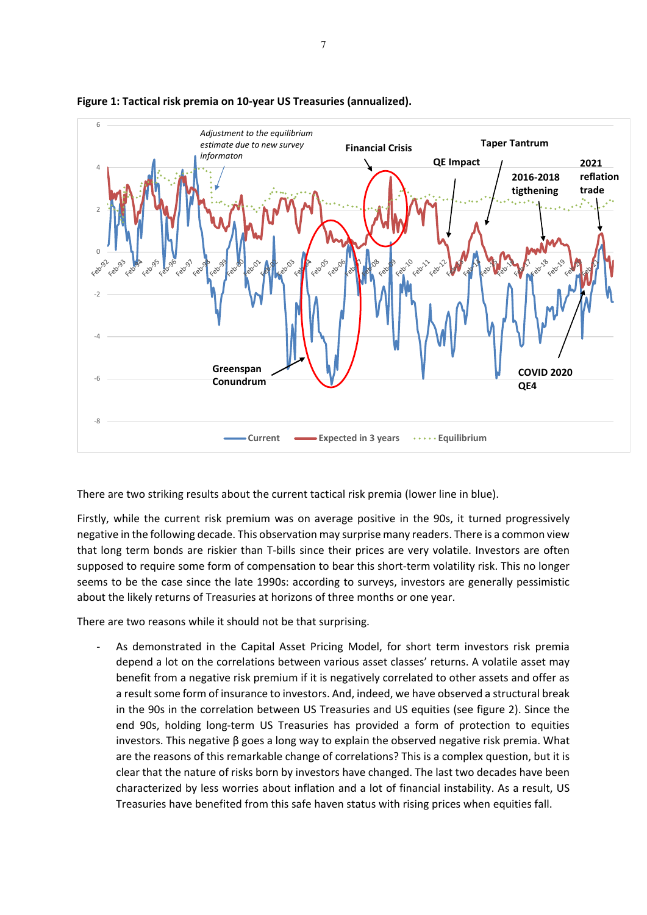

### **Figure 1: Tactical risk premia on 10-year US Treasuries (annualized).**

There are two striking results about the current tactical risk premia (lower line in blue).

Firstly, while the current risk premium was on average positive in the 90s, it turned progressively negative in the following decade. This observation may surprise many readers. There is a common view that long term bonds are riskier than T-bills since their prices are very volatile. Investors are often supposed to require some form of compensation to bear this short-term volatility risk. This no longer seems to be the case since the late 1990s: according to surveys, investors are generally pessimistic about the likely returns of Treasuries at horizons of three months or one year.

There are two reasons while it should not be that surprising.

As demonstrated in the Capital Asset Pricing Model, for short term investors risk premia depend a lot on the correlations between various asset classes' returns. A volatile asset may benefit from a negative risk premium if it is negatively correlated to other assets and offer as a result some form of insurance to investors. And, indeed, we have observed a structural break in the 90s in the correlation between US Treasuries and US equities (see figure 2). Since the end 90s, holding long-term US Treasuries has provided a form of protection to equities investors. This negative β goes a long way to explain the observed negative risk premia. What are the reasons of this remarkable change of correlations? This is a complex question, but it is clear that the nature of risks born by investors have changed. The last two decades have been characterized by less worries about inflation and a lot of financial instability. As a result, US Treasuries have benefited from this safe haven status with rising prices when equities fall.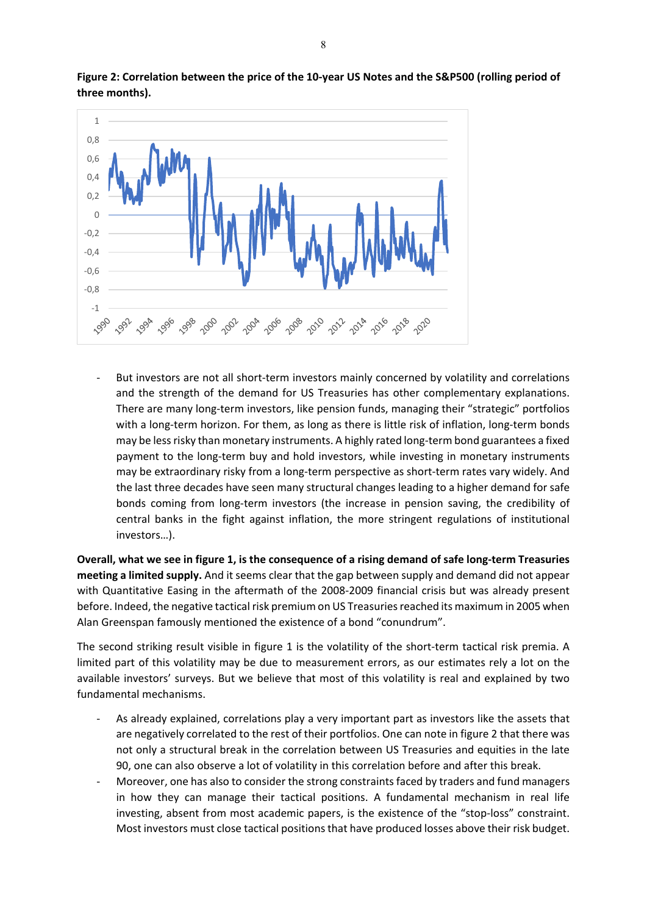

**Figure 2: Correlation between the price of the 10-year US Notes and the S&P500 (rolling period of three months).** 

But investors are not all short-term investors mainly concerned by volatility and correlations and the strength of the demand for US Treasuries has other complementary explanations. There are many long-term investors, like pension funds, managing their "strategic" portfolios with a long-term horizon. For them, as long as there is little risk of inflation, long-term bonds may be less risky than monetary instruments. A highly rated long-term bond guarantees a fixed payment to the long-term buy and hold investors, while investing in monetary instruments may be extraordinary risky from a long-term perspective as short-term rates vary widely. And the last three decades have seen many structural changes leading to a higher demand for safe bonds coming from long-term investors (the increase in pension saving, the credibility of central banks in the fight against inflation, the more stringent regulations of institutional investors…).

**Overall, what we see in figure 1, is the consequence of a rising demand of safe long-term Treasuries meeting a limited supply.** And it seems clear that the gap between supply and demand did not appear with Quantitative Easing in the aftermath of the 2008-2009 financial crisis but was already present before. Indeed, the negative tactical risk premium on US Treasuries reached its maximum in 2005 when Alan Greenspan famously mentioned the existence of a bond "conundrum".

The second striking result visible in figure 1 is the volatility of the short-term tactical risk premia. A limited part of this volatility may be due to measurement errors, as our estimates rely a lot on the available investors' surveys. But we believe that most of this volatility is real and explained by two fundamental mechanisms.

- As already explained, correlations play a very important part as investors like the assets that are negatively correlated to the rest of their portfolios. One can note in figure 2 that there was not only a structural break in the correlation between US Treasuries and equities in the late 90, one can also observe a lot of volatility in this correlation before and after this break.
- Moreover, one has also to consider the strong constraints faced by traders and fund managers in how they can manage their tactical positions. A fundamental mechanism in real life investing, absent from most academic papers, is the existence of the "stop-loss" constraint. Most investors must close tactical positions that have produced losses above their risk budget.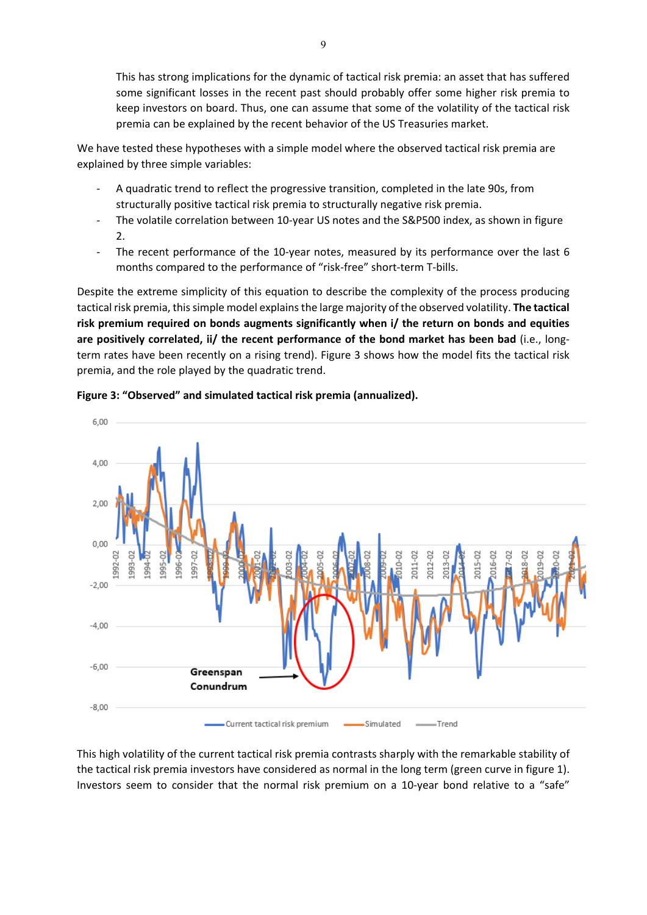This has strong implications for the dynamic of tactical risk premia: an asset that has suffered some significant losses in the recent past should probably offer some higher risk premia to keep investors on board. Thus, one can assume that some of the volatility of the tactical risk premia can be explained by the recent behavior of the US Treasuries market.

We have tested these hypotheses with a simple model where the observed tactical risk premia are explained by three simple variables:

- A quadratic trend to reflect the progressive transition, completed in the late 90s, from structurally positive tactical risk premia to structurally negative risk premia.
- The volatile correlation between 10-year US notes and the S&P500 index, as shown in figure  $\mathcal{L}$
- The recent performance of the 10-year notes, measured by its performance over the last 6 months compared to the performance of "risk-free" short-term T-bills.

Despite the extreme simplicity of this equation to describe the complexity of the process producing tactical risk premia, this simple model explains the large majority of the observed volatility. **The tactical risk premium required on bonds augments significantly when i/ the return on bonds and equities are positively correlated, ii/ the recent performance of the bond market has been bad** (i.e., longterm rates have been recently on a rising trend). Figure 3 shows how the model fits the tactical risk premia, and the role played by the quadratic trend.





This high volatility of the current tactical risk premia contrasts sharply with the remarkable stability of the tactical risk premia investors have considered as normal in the long term (green curve in figure 1). Investors seem to consider that the normal risk premium on a 10-year bond relative to a "safe"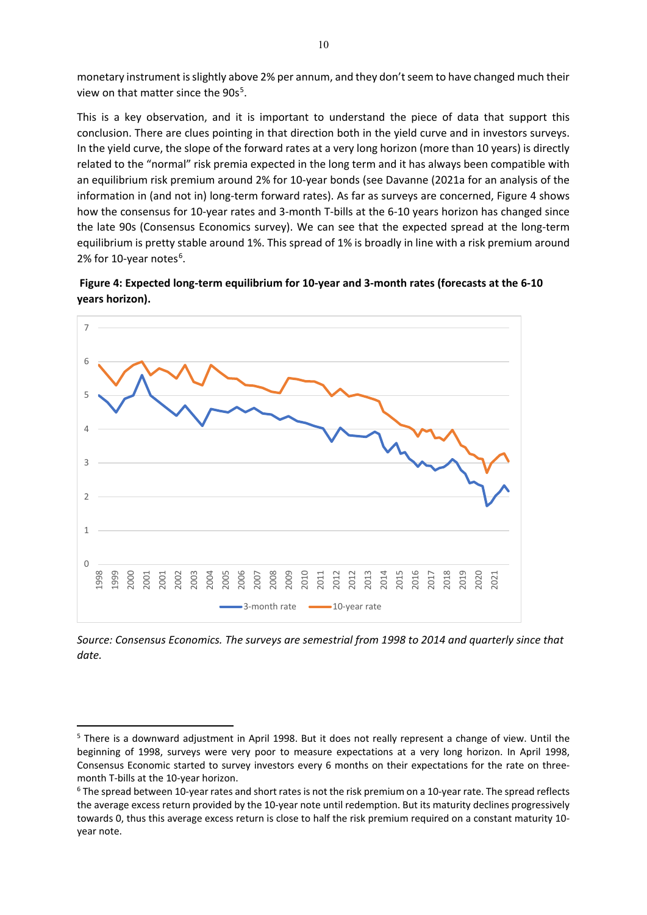monetary instrument is slightly above 2% per annum, and they don't seem to have changed much their view on that matter since the 90s<sup>[5](#page-9-0)</sup>.

This is a key observation, and it is important to understand the piece of data that support this conclusion. There are clues pointing in that direction both in the yield curve and in investors surveys. In the yield curve, the slope of the forward rates at a very long horizon (more than 10 years) is directly related to the "normal" risk premia expected in the long term and it has always been compatible with an equilibrium risk premium around 2% for 10-year bonds (see Davanne (2021a for an analysis of the information in (and not in) long-term forward rates). As far as surveys are concerned, Figure 4 shows how the consensus for 10-year rates and 3-month T-bills at the 6-10 years horizon has changed since the late 90s (Consensus Economics survey). We can see that the expected spread at the long-term equilibrium is pretty stable around 1%. This spread of 1% is broadly in line with a risk premium around 2% for 10-year notes<sup>[6](#page-9-1)</sup>.

**Figure 4: Expected long-term equilibrium for 10-year and 3-month rates (forecasts at the 6-10 years horizon).** 



*Source: Consensus Economics. The surveys are semestrial from 1998 to 2014 and quarterly since that date.* 

<span id="page-9-0"></span><sup>&</sup>lt;sup>5</sup> There is a downward adjustment in April 1998. But it does not really represent a change of view. Until the beginning of 1998, surveys were very poor to measure expectations at a very long horizon. In April 1998, Consensus Economic started to survey investors every 6 months on their expectations for the rate on threemonth T-bills at the 10-year horizon.<br><sup>6</sup> The spread between 10-year rates and short rates is not the risk premium on a 10-year rate. The spread reflects

<span id="page-9-1"></span>the average excess return provided by the 10-year note until redemption. But its maturity declines progressively towards 0, thus this average excess return is close to half the risk premium required on a constant maturity 10 year note.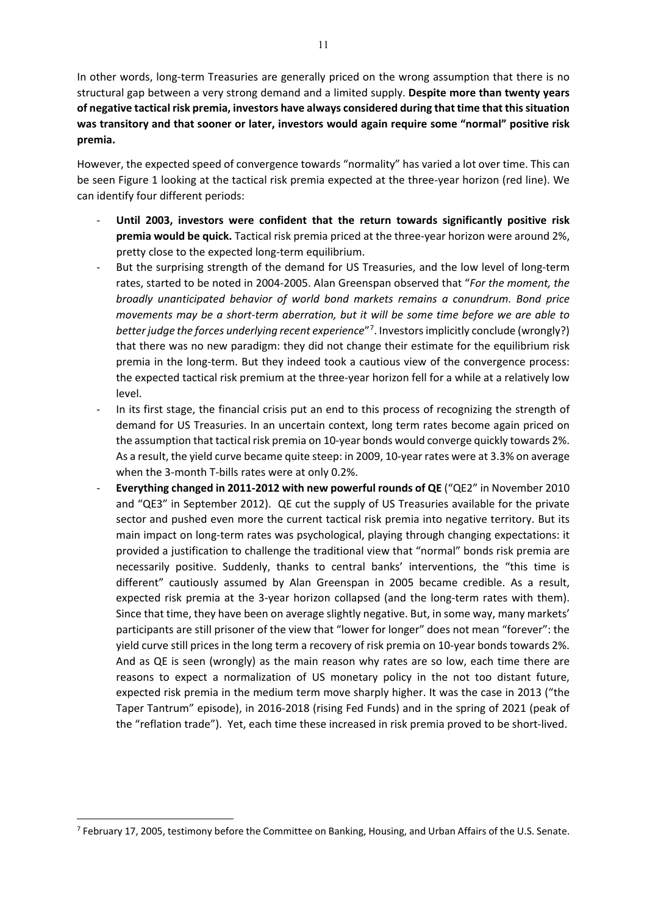In other words, long-term Treasuries are generally priced on the wrong assumption that there is no structural gap between a very strong demand and a limited supply. **Despite more than twenty years of negative tactical risk premia, investors have always considered during that time that this situation was transitory and that sooner or later, investors would again require some "normal" positive risk premia.**

However, the expected speed of convergence towards "normality" has varied a lot over time. This can be seen Figure 1 looking at the tactical risk premia expected at the three-year horizon (red line). We can identify four different periods:

- **Until 2003, investors were confident that the return towards significantly positive risk premia would be quick.** Tactical risk premia priced at the three-year horizon were around 2%, pretty close to the expected long-term equilibrium.
- But the surprising strength of the demand for US Treasuries, and the low level of long-term rates, started to be noted in 2004-2005. Alan Greenspan observed that "*For the moment, the broadly unanticipated behavior of world bond markets remains a conundrum. Bond price movements may be a short-term aberration, but it will be some time before we are able to better judge the forces underlying recent experience*"[7](#page-10-0) . Investors implicitly conclude (wrongly?) that there was no new paradigm: they did not change their estimate for the equilibrium risk premia in the long-term. But they indeed took a cautious view of the convergence process: the expected tactical risk premium at the three-year horizon fell for a while at a relatively low level.
- In its first stage, the financial crisis put an end to this process of recognizing the strength of demand for US Treasuries. In an uncertain context, long term rates become again priced on the assumption that tactical risk premia on 10-year bonds would converge quickly towards 2%. As a result, the yield curve became quite steep: in 2009, 10-year rates were at 3.3% on average when the 3-month T-bills rates were at only 0.2%.
- **Everything changed in 2011-2012 with new powerful rounds of QE** ("QE2" in November 2010 and "QE3" in September 2012). QE cut the supply of US Treasuries available for the private sector and pushed even more the current tactical risk premia into negative territory. But its main impact on long-term rates was psychological, playing through changing expectations: it provided a justification to challenge the traditional view that "normal" bonds risk premia are necessarily positive. Suddenly, thanks to central banks' interventions, the "this time is different" cautiously assumed by Alan Greenspan in 2005 became credible. As a result, expected risk premia at the 3-year horizon collapsed (and the long-term rates with them). Since that time, they have been on average slightly negative. But, in some way, many markets' participants are still prisoner of the view that "lower for longer" does not mean "forever": the yield curve still prices in the long term a recovery of risk premia on 10-year bonds towards 2%. And as QE is seen (wrongly) as the main reason why rates are so low, each time there are reasons to expect a normalization of US monetary policy in the not too distant future, expected risk premia in the medium term move sharply higher. It was the case in 2013 ("the Taper Tantrum" episode), in 2016-2018 (rising Fed Funds) and in the spring of 2021 (peak of the "reflation trade"). Yet, each time these increased in risk premia proved to be short-lived.

<span id="page-10-0"></span><sup>&</sup>lt;sup>7</sup> February 17, 2005, testimony before the Committee on Banking, Housing, and Urban Affairs of the U.S. Senate.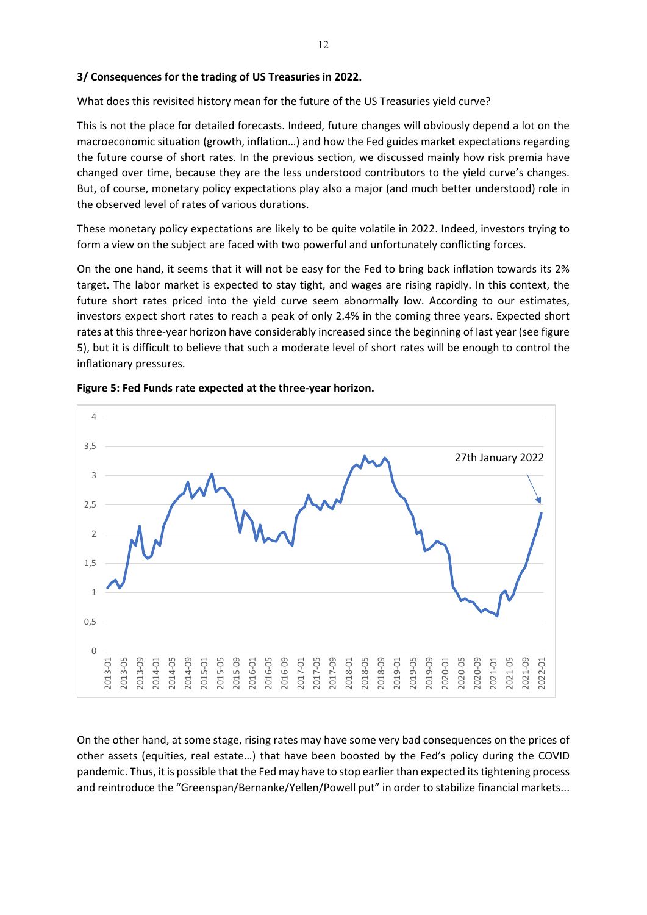## **3/ Consequences for the trading of US Treasuries in 2022.**

What does this revisited history mean for the future of the US Treasuries yield curve?

This is not the place for detailed forecasts. Indeed, future changes will obviously depend a lot on the macroeconomic situation (growth, inflation…) and how the Fed guides market expectations regarding the future course of short rates. In the previous section, we discussed mainly how risk premia have changed over time, because they are the less understood contributors to the yield curve's changes. But, of course, monetary policy expectations play also a major (and much better understood) role in the observed level of rates of various durations.

These monetary policy expectations are likely to be quite volatile in 2022. Indeed, investors trying to form a view on the subject are faced with two powerful and unfortunately conflicting forces.

On the one hand, it seems that it will not be easy for the Fed to bring back inflation towards its 2% target. The labor market is expected to stay tight, and wages are rising rapidly. In this context, the future short rates priced into the yield curve seem abnormally low. According to our estimates, investors expect short rates to reach a peak of only 2.4% in the coming three years. Expected short rates at this three-year horizon have considerably increased since the beginning of last year (see figure 5), but it is difficult to believe that such a moderate level of short rates will be enough to control the inflationary pressures.





On the other hand, at some stage, rising rates may have some very bad consequences on the prices of other assets (equities, real estate…) that have been boosted by the Fed's policy during the COVID pandemic. Thus, it is possible that the Fed may have to stop earlier than expected its tightening process and reintroduce the "Greenspan/Bernanke/Yellen/Powell put" in order to stabilize financial markets...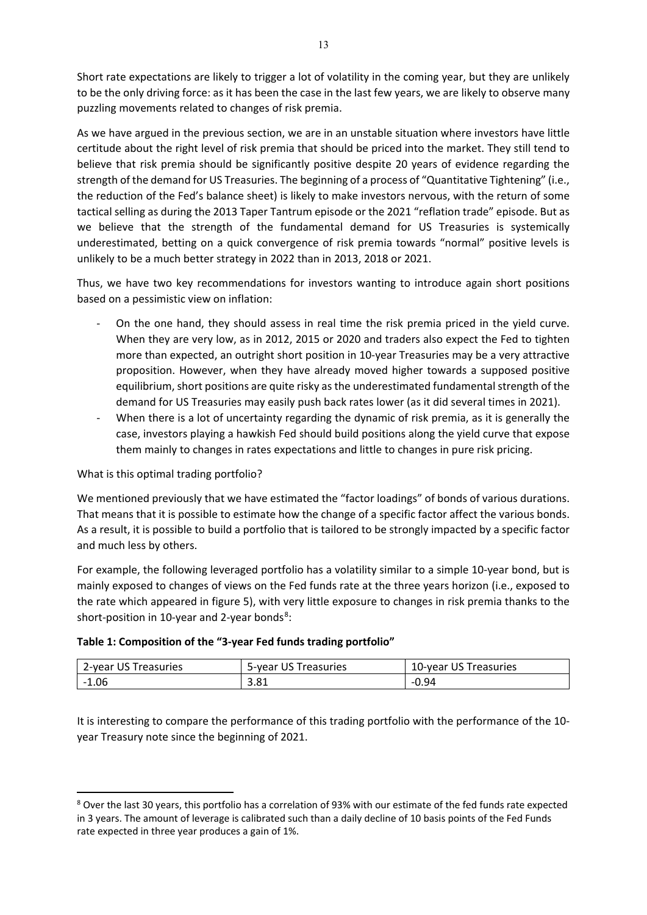Short rate expectations are likely to trigger a lot of volatility in the coming year, but they are unlikely to be the only driving force: as it has been the case in the last few years, we are likely to observe many puzzling movements related to changes of risk premia.

As we have argued in the previous section, we are in an unstable situation where investors have little certitude about the right level of risk premia that should be priced into the market. They still tend to believe that risk premia should be significantly positive despite 20 years of evidence regarding the strength of the demand for US Treasuries. The beginning of a process of "Quantitative Tightening" (i.e., the reduction of the Fed's balance sheet) is likely to make investors nervous, with the return of some tactical selling as during the 2013 Taper Tantrum episode or the 2021 "reflation trade" episode. But as we believe that the strength of the fundamental demand for US Treasuries is systemically underestimated, betting on a quick convergence of risk premia towards "normal" positive levels is unlikely to be a much better strategy in 2022 than in 2013, 2018 or 2021.

Thus, we have two key recommendations for investors wanting to introduce again short positions based on a pessimistic view on inflation:

- On the one hand, they should assess in real time the risk premia priced in the yield curve. When they are very low, as in 2012, 2015 or 2020 and traders also expect the Fed to tighten more than expected, an outright short position in 10-year Treasuries may be a very attractive proposition. However, when they have already moved higher towards a supposed positive equilibrium, short positions are quite risky as the underestimated fundamental strength of the demand for US Treasuries may easily push back rates lower (as it did several times in 2021).
- When there is a lot of uncertainty regarding the dynamic of risk premia, as it is generally the case, investors playing a hawkish Fed should build positions along the yield curve that expose them mainly to changes in rates expectations and little to changes in pure risk pricing.

# What is this optimal trading portfolio?

We mentioned previously that we have estimated the "factor loadings" of bonds of various durations. That means that it is possible to estimate how the change of a specific factor affect the various bonds. As a result, it is possible to build a portfolio that is tailored to be strongly impacted by a specific factor and much less by others.

For example, the following leveraged portfolio has a volatility similar to a simple 10-year bond, but is mainly exposed to changes of views on the Fed funds rate at the three years horizon (i.e., exposed to the rate which appeared in figure 5), with very little exposure to changes in risk premia thanks to the short-position in 10-year and 2-year bonds<sup>[8](#page-12-0)</sup>:

## **Table 1: Composition of the "3-year Fed funds trading portfolio"**

| 2-year US Treasuries | 5-year US Treasuries | 10-year US Treasuries |
|----------------------|----------------------|-----------------------|
| $-1.06$              | 3.81                 | $-0.94$               |

It is interesting to compare the performance of this trading portfolio with the performance of the 10 year Treasury note since the beginning of 2021.

<span id="page-12-0"></span><sup>8</sup> Over the last 30 years, this portfolio has a correlation of 93% with our estimate of the fed funds rate expected in 3 years. The amount of leverage is calibrated such than a daily decline of 10 basis points of the Fed Funds rate expected in three year produces a gain of 1%.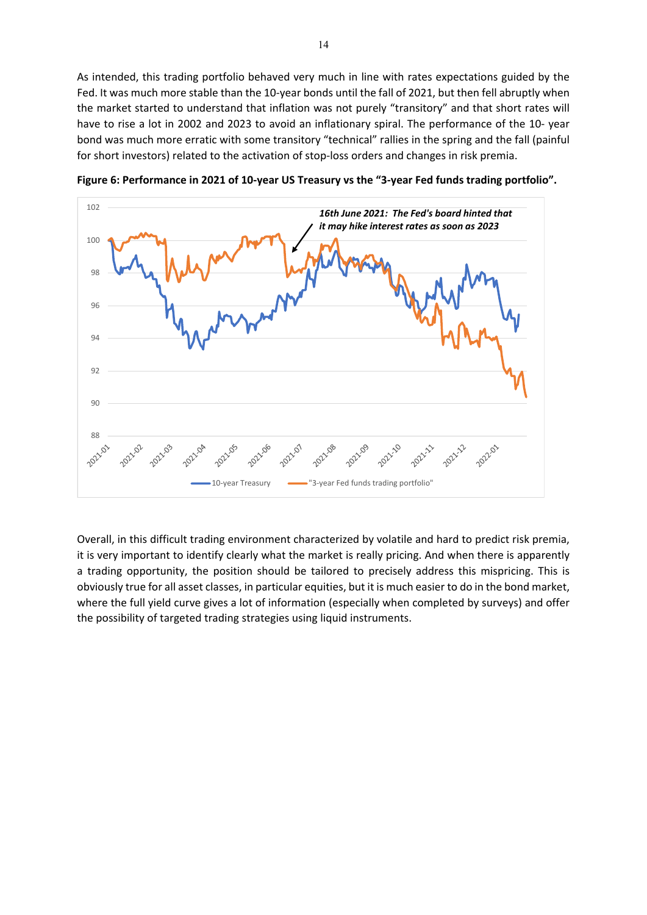As intended, this trading portfolio behaved very much in line with rates expectations guided by the Fed. It was much more stable than the 10-year bonds until the fall of 2021, but then fell abruptly when the market started to understand that inflation was not purely "transitory" and that short rates will have to rise a lot in 2002 and 2023 to avoid an inflationary spiral. The performance of the 10- year bond was much more erratic with some transitory "technical" rallies in the spring and the fall (painful for short investors) related to the activation of stop-loss orders and changes in risk premia.



**Figure 6: Performance in 2021 of 10-year US Treasury vs the "3-year Fed funds trading portfolio".** 

Overall, in this difficult trading environment characterized by volatile and hard to predict risk premia, it is very important to identify clearly what the market is really pricing. And when there is apparently a trading opportunity, the position should be tailored to precisely address this mispricing. This is obviously true for all asset classes, in particular equities, but it is much easier to do in the bond market, where the full yield curve gives a lot of information (especially when completed by surveys) and offer the possibility of targeted trading strategies using liquid instruments.